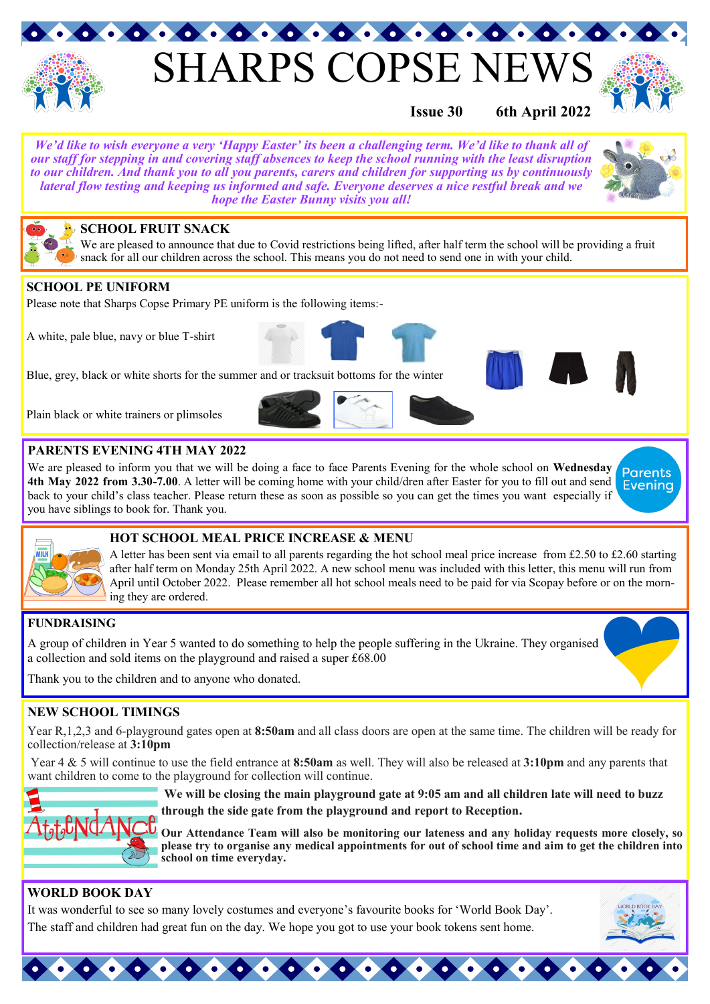

# **SHARPS COPSE NE**



### **Issue 30 6th April 2022**

*We'd like to wish everyone a very 'Happy Easter' its been a challenging term. We'd like to thank all of our staff for stepping in and covering staff absences to keep the school running with the least disruption to our children. And thank you to all you parents, carers and children for supporting us by continuously lateral flow testing and keeping us informed and safe. Everyone deserves a nice restful break and we hope the Easter Bunny visits you all!*



#### **SCHOOL FRUIT SNACK**

We are pleased to announce that due to Covid restrictions being lifted, after half term the school will be providing a fruit snack for all our children across the school. This means you do not need to send one in with your child.

#### **SCHOOL PE UNIFORM**

Please note that Sharps Copse Primary PE uniform is the following items:-

A white, pale blue, navy or blue T-shirt





#### **PARENTS EVENING 4TH MAY 2022**

We are pleased to inform you that we will be doing a face to face Parents Evening for the whole school on **Wednesday 4th May 2022 from 3.30-7.00**. A letter will be coming home with your child/dren after Easter for you to fill out and send **Evening** back to your child's class teacher. Please return these as soon as possible so you can get the times you want especially if you have siblings to book for. Thank you.



#### **HOT SCHOOL MEAL PRICE INCREASE & MENU**

A letter has been sent via email to all parents regarding the hot school meal price increase from £2.50 to £2.60 starting after half term on Monday 25th April 2022. A new school menu was included with this letter, this menu will run from April until October 2022. Please remember all hot school meals need to be paid for via Scopay before or on the morning they are ordered.

#### **FUNDRAISING**

A group of children in Year 5 wanted to do something to help the people suffering in the Ukraine. They organised a collection and sold items on the playground and raised a super £68.00

Thank you to the children and to anyone who donated.

#### **NEW SCHOOL TIMINGS**

Year R,1,2,3 and 6-playground gates open at **8:50am** and all class doors are open at the same time. The children will be ready for collection/release at **3:10pm**

Year 4 & 5 will continue to use the field entrance at **8:50am** as well. They will also be released at **3:10pm** and any parents that want children to come to the playground for collection will continue.



**We will be closing the main playground gate at 9:05 am and all children late will need to buzz through the side gate from the playground and report to Reception.**

**Our Attendance Team will also be monitoring our lateness and any holiday requests more closely, so please try to organise any medical appointments for out of school time and aim to get the children into school on time everyday.**

#### **WORLD BOOK DAY**

It was wonderful to see so many lovely costumes and everyone's favourite books for 'World Book Day'. The staff and children had great fun on the day. We hope you got to use your book tokens sent home.

 $\bullet \bullet \bullet \bullet \bullet \bullet$